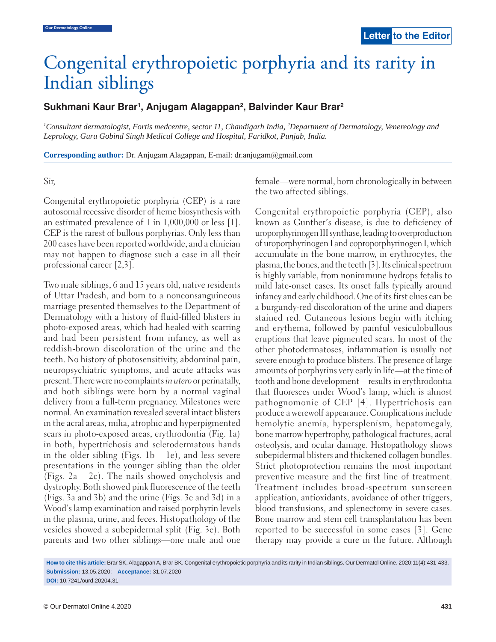# Congenital erythropoietic porphyria and its rarity in Indian siblings

## **Sukhmani Kaur Brar1 , Anjugam Alagappan2 , Balvinder Kaur Brar2**

<sup>1</sup>Consultant dermatologist, Fortis medcentre, sector 11, Chandigarh India, <sup>2</sup>Department of Dermatology, Venereology and *Leprology, Guru Gobind Singh Medical College and Hospital, Faridkot, Punjab, India.*

**Corresponding author:** Dr. Anjugam Alagappan, E-mail: dr.anjugam@gmail.com

#### Sir,

Congenital erythropoietic porphyria (CEP) is a rare autosomal recessive disorder of heme biosynthesis with an estimated prevalence of 1 in 1,000,000 or less [1]. CEP is the rarest of bullous porphyrias. Only less than 200 cases have been reported worldwide, and a clinician may not happen to diagnose such a case in all their professional career [2,3].

Two male siblings, 6 and 15 years old, native residents of Uttar Pradesh, and born to a nonconsanguineous marriage presented themselves to the Department of Dermatology with a history of fluid-filled blisters in photo-exposed areas, which had healed with scarring and had been persistent from infancy, as well as reddish-brown discoloration of the urine and the teeth. No history of photosensitivity, abdominal pain, neuropsychiatric symptoms, and acute attacks was present. There were no complaints *in utero* or perinatally, and both siblings were born by a normal vaginal delivery from a full-term pregnancy. Milestones were normal. An examination revealed several intact blisters in the acral areas, milia, atrophic and hyperpigmented scars in photo-exposed areas, erythrodontia (Fig. 1a) in both, hypertrichosis and sclerodermatous hands in the older sibling (Figs.  $1b - le$ ), and less severe presentations in the younger sibling than the older (Figs. 2a – 2c). The nails showed onycholysis and dystrophy. Both showed pink fluorescence of the teeth (Figs. 3a and 3b) and the urine (Figs. 3c and 3d) in a Wood's lamp examination and raised porphyrin levels in the plasma, urine, and feces. Histopathology of the vesicles showed a subepidermal split (Fig. 3e). Both parents and two other siblings—one male and one

female—were normal, born chronologically in between the two affected siblings.

Congenital erythropoietic porphyria (CEP), also known as Gunther's disease, is due to deficiency of uroporphyrinogen III synthase, leading to overproduction of uroporphyrinogen I and coproporphyrinogen I, which accumulate in the bone marrow, in erythrocytes, the plasma, the bones, and the teeth [3]. Its clinical spectrum is highly variable, from nonimmune hydrops fetalis to mild late-onset cases. Its onset falls typically around infancy and early childhood. One of its first clues can be a burgundy-red discoloration of the urine and diapers stained red. Cutaneous lesions begin with itching and erythema, followed by painful vesiculobullous eruptions that leave pigmented scars. In most of the other photodermatoses, inflammation is usually not severe enough to produce blisters. The presence of large amounts of porphyrins very early in life—at the time of tooth and bone development—results in erythrodontia that fluoresces under Wood's lamp, which is almost pathognomonic of CEP [4]. Hypertrichosis can produce a werewolf appearance. Complications include hemolytic anemia, hypersplenism, hepatomegaly, bone marrow hypertrophy, pathological fractures, acral osteolysis, and ocular damage. Histopathology shows subepidermal blisters and thickened collagen bundles. Strict photoprotection remains the most important preventive measure and the first line of treatment. Treatment includes broad-spectrum sunscreen application, antioxidants, avoidance of other triggers, blood transfusions, and splenectomy in severe cases. Bone marrow and stem cell transplantation has been reported to be successful in some cases [3]. Gene therapy may provide a cure in the future. Although

**DOI:** 10.7241/ourd.20204.31

**How to cite this article:** Brar SK, Alagappan A, Brar BK. Congenital erythropoietic porphyria and its rarity in Indian siblings. Our Dermatol Online. 2020;11(4):431-433. **Submission:** 13.05.2020; **Acceptance:** 31.07.2020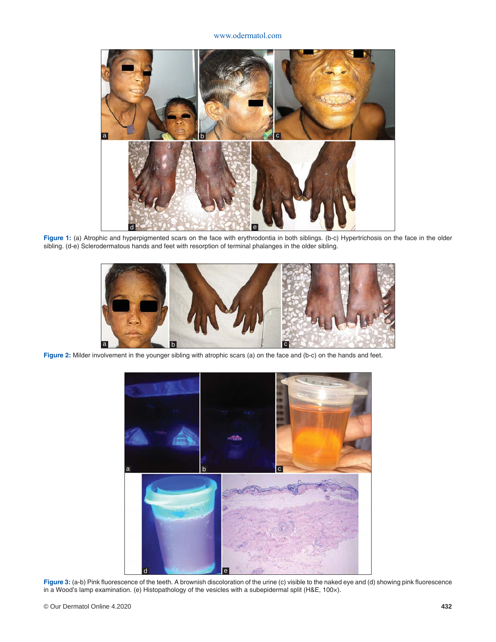#### www.odermatol.com



**Figure 1:** (a) Atrophic and hyperpigmented scars on the face with erythrodontia in both siblings. (b-c) Hypertrichosis on the face in the older sibling. (d-e) Sclerodermatous hands and feet with resorption of terminal phalanges in the older sibling.



**Figure 2:** Milder involvement in the younger sibling with atrophic scars (a) on the face and (b-c) on the hands and feet.



Figure 3: (a-b) Pink fluorescence of the teeth. A brownish discoloration of the urine (c) visible to the naked eye and (d) showing pink fluorescence in a Wood's lamp examination. (e) Histopathology of the vesicles with a subepidermal split (H&E, 100×).